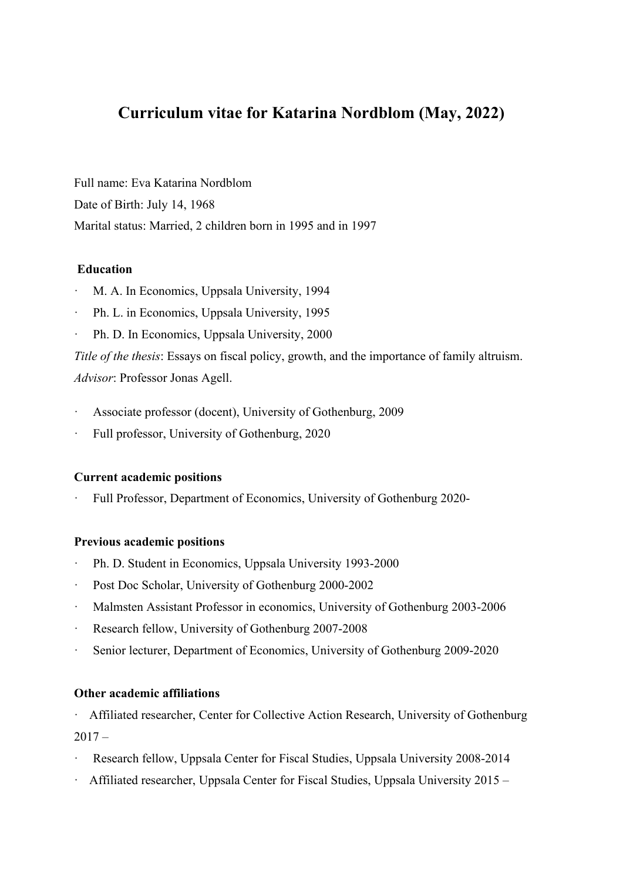# **Curriculum vitae for Katarina Nordblom (May, 2022)**

Full name: Eva Katarina Nordblom Date of Birth: July 14, 1968 Marital status: Married, 2 children born in 1995 and in 1997

# **Education**

- M. A. In Economics, Uppsala University, 1994
- Ph. L. in Economics, Uppsala University, 1995
- Ph. D. In Economics, Uppsala University, 2000

*Title of the thesis*: Essays on fiscal policy, growth, and the importance of family altruism. *Advisor*: Professor Jonas Agell.

- Associate professor (docent), University of Gothenburg, 2009
- Full professor, University of Gothenburg, 2020

### **Current academic positions**

· Full Professor, Department of Economics, University of Gothenburg 2020-

### **Previous academic positions**

- Ph. D. Student in Economics, Uppsala University 1993-2000
- Post Doc Scholar, University of Gothenburg 2000-2002
- · Malmsten Assistant Professor in economics, University of Gothenburg 2003-2006
- · Research fellow, University of Gothenburg 2007-2008
- Senior lecturer, Department of Economics, University of Gothenburg 2009-2020

## **Other academic affiliations**

Affiliated researcher, Center for Collective Action Research, University of Gothenburg  $2017 -$ 

- Research fellow, Uppsala Center for Fiscal Studies, Uppsala University 2008-2014
- Affiliated researcher, Uppsala Center for Fiscal Studies, Uppsala University 2015 –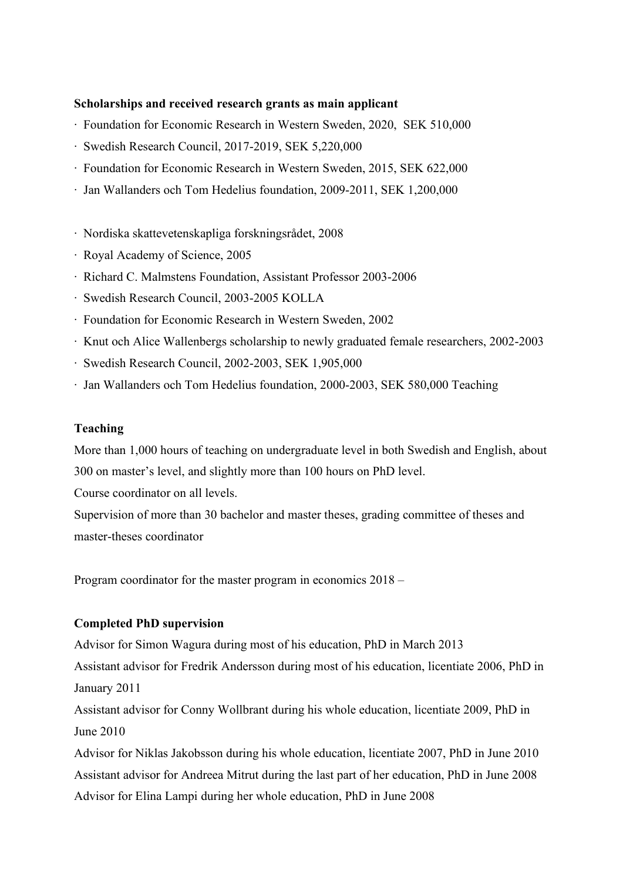### **Scholarships and received research grants as main applicant**

- ∙ Foundation for Economic Research in Western Sweden, 2020, SEK 510,000
- ∙ Swedish Research Council, 2017-2019, SEK 5,220,000
- ∙ Foundation for Economic Research in Western Sweden, 2015, SEK 622,000
- ∙ Jan Wallanders och Tom Hedelius foundation, 2009-2011, SEK 1,200,000
- ∙ Nordiska skattevetenskapliga forskningsrådet, 2008
- ∙ Royal Academy of Science, 2005
- ∙ Richard C. Malmstens Foundation, Assistant Professor 2003-2006
- ∙ Swedish Research Council, 2003-2005 KOLLA
- ∙ Foundation for Economic Research in Western Sweden, 2002
- ∙ Knut och Alice Wallenbergs scholarship to newly graduated female researchers, 2002-2003
- ∙ Swedish Research Council, 2002-2003, SEK 1,905,000
- ∙ Jan Wallanders och Tom Hedelius foundation, 2000-2003, SEK 580,000 Teaching

### **Teaching**

More than 1,000 hours of teaching on undergraduate level in both Swedish and English, about 300 on master's level, and slightly more than 100 hours on PhD level.

Course coordinator on all levels.

Supervision of more than 30 bachelor and master theses, grading committee of theses and master-theses coordinator

Program coordinator for the master program in economics 2018 –

## **Completed PhD supervision**

Advisor for Simon Wagura during most of his education, PhD in March 2013

Assistant advisor for Fredrik Andersson during most of his education, licentiate 2006, PhD in January 2011

Assistant advisor for Conny Wollbrant during his whole education, licentiate 2009, PhD in June 2010

Advisor for Niklas Jakobsson during his whole education, licentiate 2007, PhD in June 2010 Assistant advisor for Andreea Mitrut during the last part of her education, PhD in June 2008 Advisor for Elina Lampi during her whole education, PhD in June 2008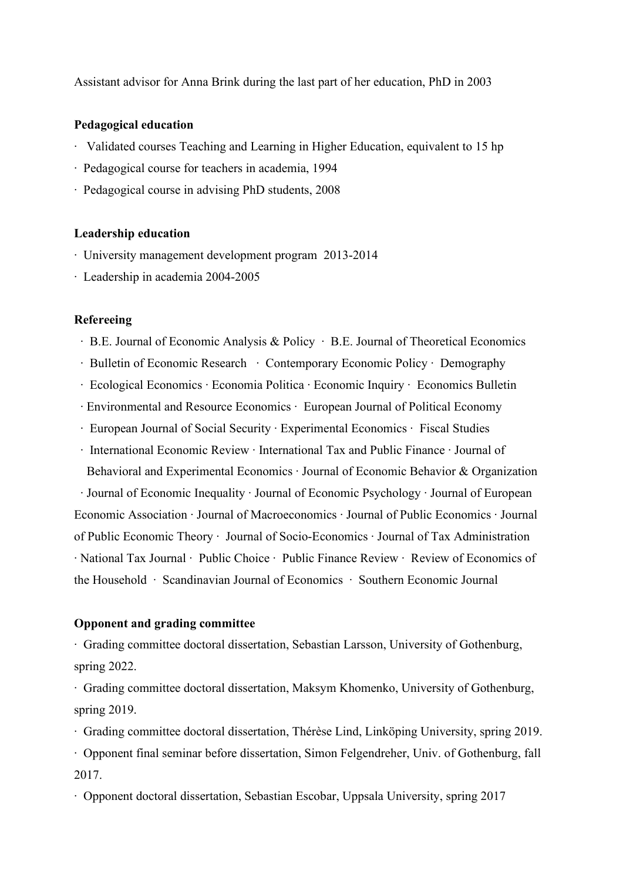Assistant advisor for Anna Brink during the last part of her education, PhD in 2003

#### **Pedagogical education**

- ∙ Validated courses Teaching and Learning in Higher Education, equivalent to 15 hp
- ∙ Pedagogical course for teachers in academia, 1994
- ∙ Pedagogical course in advising PhD students, 2008

#### **Leadership education**

- ∙ University management development program 2013-2014
- ∙ Leadership in academia 2004-2005

#### **Refereeing**

- ∙ B.E. Journal of Economic Analysis & Policy ∙ B.E. Journal of Theoretical Economics
- ∙ Bulletin of Economic Research ∙ Contemporary Economic Policy ∙ Demography
- ∙ Ecological Economics ∙ Economia Politica ∙ Economic Inquiry ∙ Economics Bulletin
- ∙ Environmental and Resource Economics ∙ European Journal of Political Economy
- ∙ European Journal of Social Security ∙ Experimental Economics ∙ Fiscal Studies
- ∙ International Economic Review ∙ International Tax and Public Finance ∙ Journal of Behavioral and Experimental Economics ∙ Journal of Economic Behavior & Organization

 ∙ Journal of Economic Inequality ∙ Journal of Economic Psychology ∙ Journal of European Economic Association ∙ Journal of Macroeconomics ∙ Journal of Public Economics ∙ Journal of Public Economic Theory ∙ Journal of Socio-Economics ∙ Journal of Tax Administration ∙ National Tax Journal ∙ Public Choice ∙ Public Finance Review ∙ Review of Economics of the Household ∙ Scandinavian Journal of Economics ∙ Southern Economic Journal

## **Opponent and grading committee**

∙ Grading committee doctoral dissertation, Sebastian Larsson, University of Gothenburg, spring 2022.

∙ Grading committee doctoral dissertation, Maksym Khomenko, University of Gothenburg, spring 2019.

∙ Grading committee doctoral dissertation, Thérèse Lind, Linköping University, spring 2019.

∙ Opponent final seminar before dissertation, Simon Felgendreher, Univ. of Gothenburg, fall 2017.

∙ Opponent doctoral dissertation, Sebastian Escobar, Uppsala University, spring 2017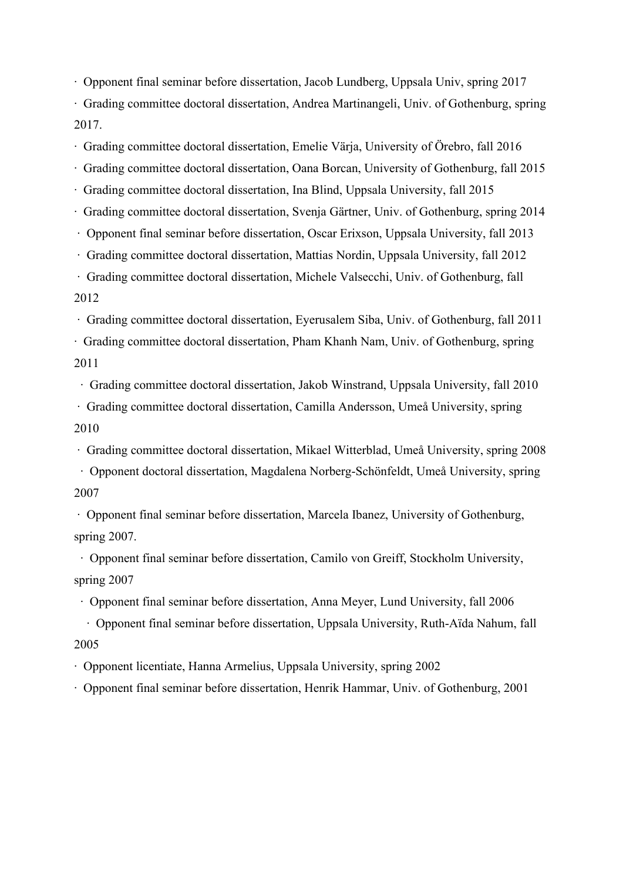∙ Opponent final seminar before dissertation, Jacob Lundberg, Uppsala Univ, spring 2017

∙ Grading committee doctoral dissertation, Andrea Martinangeli, Univ. of Gothenburg, spring 2017.

∙ Grading committee doctoral dissertation, Emelie Värja, University of Örebro, fall 2016

∙ Grading committee doctoral dissertation, Oana Borcan, University of Gothenburg, fall 2015

∙ Grading committee doctoral dissertation, Ina Blind, Uppsala University, fall 2015

∙ Grading committee doctoral dissertation, Svenja Gärtner, Univ. of Gothenburg, spring 2014

∙ Opponent final seminar before dissertation, Oscar Erixson, Uppsala University, fall 2013

∙ Grading committee doctoral dissertation, Mattias Nordin, Uppsala University, fall 2012

∙ Grading committee doctoral dissertation, Michele Valsecchi, Univ. of Gothenburg, fall 2012

∙ Grading committee doctoral dissertation, Eyerusalem Siba, Univ. of Gothenburg, fall 2011

∙ Grading committee doctoral dissertation, Pham Khanh Nam, Univ. of Gothenburg, spring 2011

∙ Grading committee doctoral dissertation, Jakob Winstrand, Uppsala University, fall 2010

∙ Grading committee doctoral dissertation, Camilla Andersson, Umeå University, spring 2010

∙ Grading committee doctoral dissertation, Mikael Witterblad, Umeå University, spring 2008

 ∙ Opponent doctoral dissertation, Magdalena Norberg-Schönfeldt, Umeå University, spring 2007

∙ Opponent final seminar before dissertation, Marcela Ibanez, University of Gothenburg, spring 2007.

 ∙ Opponent final seminar before dissertation, Camilo von Greiff, Stockholm University, spring 2007

∙ Opponent final seminar before dissertation, Anna Meyer, Lund University, fall 2006

 ∙ Opponent final seminar before dissertation, Uppsala University, Ruth-Aïda Nahum, fall 2005

∙ Opponent licentiate, Hanna Armelius, Uppsala University, spring 2002

∙ Opponent final seminar before dissertation, Henrik Hammar, Univ. of Gothenburg, 2001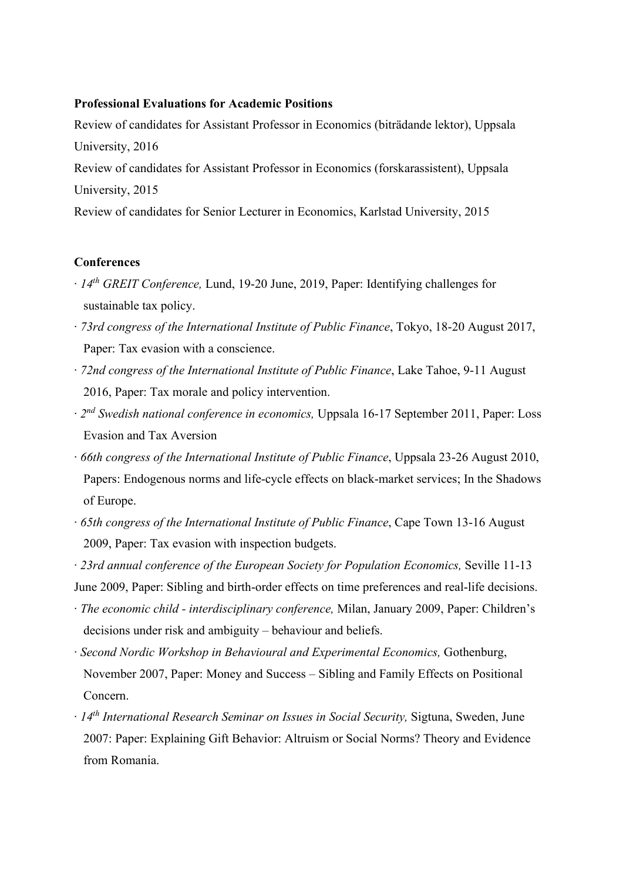### **Professional Evaluations for Academic Positions**

Review of candidates for Assistant Professor in Economics (biträdande lektor), Uppsala University, 2016

Review of candidates for Assistant Professor in Economics (forskarassistent), Uppsala University, 2015

Review of candidates for Senior Lecturer in Economics, Karlstad University, 2015

#### **Conferences**

- ∙ *14th GREIT Conference,* Lund, 19-20 June, 2019, Paper: Identifying challenges for sustainable tax policy.
- ∙ *73rd congress of the International Institute of Public Finance*, Tokyo, 18-20 August 2017, Paper: Tax evasion with a conscience.
- ∙ *72nd congress of the International Institute of Public Finance*, Lake Tahoe, 9-11 August 2016, Paper: Tax morale and policy intervention.
- ∙ *2nd Swedish national conference in economics,* Uppsala 16-17 September 2011, Paper: Loss Evasion and Tax Aversion
- ∙ *66th congress of the International Institute of Public Finance*, Uppsala 23-26 August 2010, Papers: Endogenous norms and life-cycle effects on black-market services; In the Shadows of Europe.
- ∙ *65th congress of the International Institute of Public Finance*, Cape Town 13-16 August 2009, Paper: Tax evasion with inspection budgets.
- ∙ *23rd annual conference of the European Society for Population Economics,* Seville 11-13 June 2009, Paper: Sibling and birth-order effects on time preferences and real-life decisions.
- ∙ *The economic child - interdisciplinary conference,* Milan, January 2009, Paper: Children's decisions under risk and ambiguity – behaviour and beliefs.
- ∙ *Second Nordic Workshop in Behavioural and Experimental Economics,* Gothenburg, November 2007, Paper: Money and Success – Sibling and Family Effects on Positional Concern.
- ∙ *14th International Research Seminar on Issues in Social Security,* Sigtuna, Sweden, June 2007: Paper: Explaining Gift Behavior: Altruism or Social Norms? Theory and Evidence from Romania.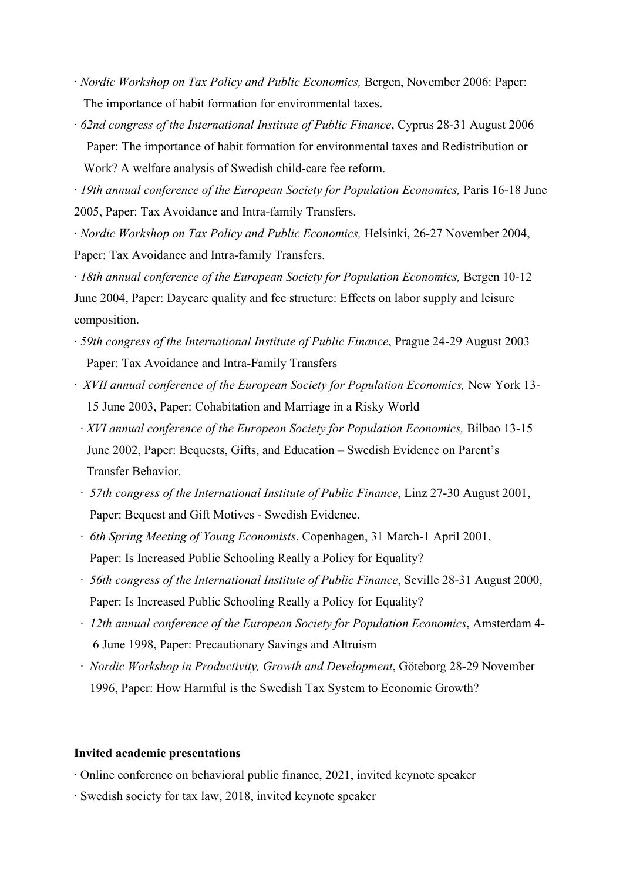- ∙ *Nordic Workshop on Tax Policy and Public Economics,* Bergen, November 2006: Paper: The importance of habit formation for environmental taxes.
- ∙ *62nd congress of the International Institute of Public Finance*, Cyprus 28-31 August 2006 Paper: The importance of habit formation for environmental taxes and Redistribution or Work? A welfare analysis of Swedish child-care fee reform.

∙ *19th annual conference of the European Society for Population Economics,* Paris 16-18 June 2005, Paper: Tax Avoidance and Intra-family Transfers.

∙ *Nordic Workshop on Tax Policy and Public Economics,* Helsinki, 26-27 November 2004, Paper: Tax Avoidance and Intra-family Transfers.

∙ *18th annual conference of the European Society for Population Economics,* Bergen 10-12 June 2004, Paper: Daycare quality and fee structure: Effects on labor supply and leisure composition.

- ∙ *59th congress of the International Institute of Public Finance*, Prague 24-29 August 2003 Paper: Tax Avoidance and Intra-Family Transfers
- ∙ *XVII annual conference of the European Society for Population Economics,* New York 13- 15 June 2003, Paper: Cohabitation and Marriage in a Risky World
- ∙ *XVI annual conference of the European Society for Population Economics,* Bilbao 13-15 June 2002, Paper: Bequests, Gifts, and Education – Swedish Evidence on Parent's Transfer Behavior.
- ∙ *57th congress of the International Institute of Public Finance*, Linz 27-30 August 2001, Paper: Bequest and Gift Motives - Swedish Evidence.
- ∙ *6th Spring Meeting of Young Economists*, Copenhagen, 31 March-1 April 2001, Paper: Is Increased Public Schooling Really a Policy for Equality?
- ∙ *56th congress of the International Institute of Public Finance*, Seville 28-31 August 2000, Paper: Is Increased Public Schooling Really a Policy for Equality?
- ∙ *12th annual conference of the European Society for Population Economics*, Amsterdam 4- 6 June 1998, Paper: Precautionary Savings and Altruism
- ∙ *Nordic Workshop in Productivity, Growth and Development*, Göteborg 28-29 November 1996, Paper: How Harmful is the Swedish Tax System to Economic Growth?

#### **Invited academic presentations**

- ∙ Online conference on behavioral public finance, 2021, invited keynote speaker
- ∙ Swedish society for tax law, 2018, invited keynote speaker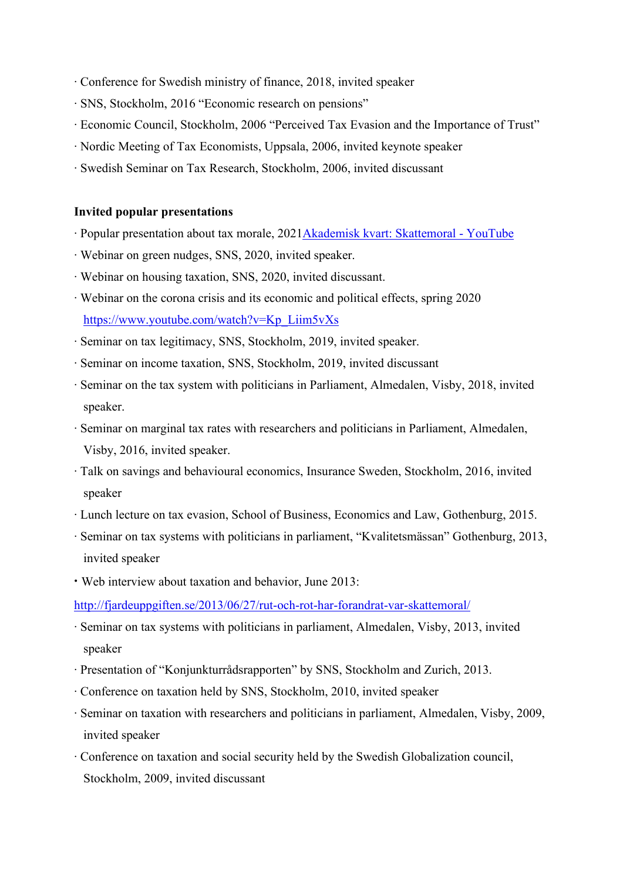- ∙ Conference for Swedish ministry of finance, 2018, invited speaker
- ∙ SNS, Stockholm, 2016 "Economic research on pensions"
- ∙ Economic Council, Stockholm, 2006 "Perceived Tax Evasion and the Importance of Trust"
- ∙ Nordic Meeting of Tax Economists, Uppsala, 2006, invited keynote speaker
- ∙ Swedish Seminar on Tax Research, Stockholm, 2006, invited discussant

#### **Invited popular presentations**

- ∙ Popular presentation about tax morale, 202[1Akademisk kvart: Skatte](https://www.youtube.com/watch?v=UFo7FWO-J70)moral YouTube
- ∙ Webinar on green nudges, SNS, 2020, invited speaker.
- ∙ Webinar on housing taxation, SNS, 2020, invited discussant.
- ∙ Webinar on the corona crisis and its economic and political effects, spring 2020 [https://www.youtube.com/watch?v=Kp\\_Liim5vXs](https://www.youtube.com/watch?v=Kp_Liim5vXs)
- ∙ Seminar on tax legitimacy, SNS, Stockholm, 2019, invited speaker.
- ∙ Seminar on income taxation, SNS, Stockholm, 2019, invited discussant
- ∙ Seminar on the tax system with politicians in Parliament, Almedalen, Visby, 2018, invited speaker.
- ∙ Seminar on marginal tax rates with researchers and politicians in Parliament, Almedalen, Visby, 2016, invited speaker.
- ∙ Talk on savings and behavioural economics, Insurance Sweden, Stockholm, 2016, invited speaker
- ∙ Lunch lecture on tax evasion, School of Business, Economics and Law, Gothenburg, 2015.
- ∙ Seminar on tax systems with politicians in parliament, "Kvalitetsmässan" Gothenburg, 2013, invited speaker
- **∙** Web interview about taxation and behavior, June 2013:

[http://fjardeuppgiften.se/2013/06/27/rut-och-rot-har-forandrat-var-](http://fjardeuppgiften.se/2013/06/27/rut-och-rot-har-forandrat-var-skattemoral/)skattemoral/

- ∙ Seminar on tax systems with politicians in parliament, Almedalen, Visby, 2013, invited speaker
- ∙ Presentation of "Konjunkturrådsrapporten" by SNS, Stockholm and Zurich, 2013.
- ∙ Conference on taxation held by SNS, Stockholm, 2010, invited speaker
- ∙ Seminar on taxation with researchers and politicians in parliament, Almedalen, Visby, 2009, invited speaker
- ∙ Conference on taxation and social security held by the Swedish Globalization council, Stockholm, 2009, invited discussant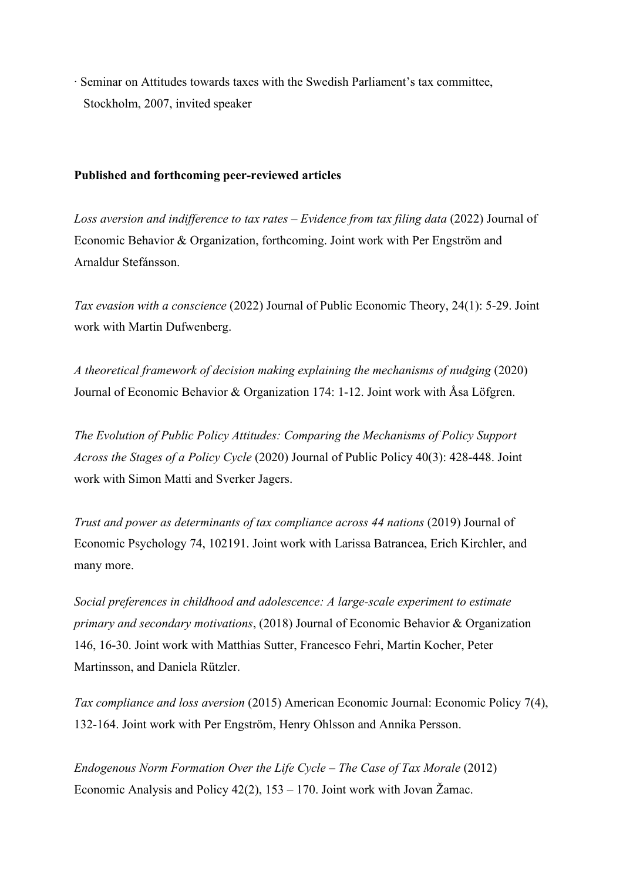∙ Seminar on Attitudes towards taxes with the Swedish Parliament's tax committee, Stockholm, 2007, invited speaker

## **Published and forthcoming peer-reviewed articles**

*Loss aversion and indifference to tax rates – Evidence from tax filing data* (2022) Journal of Economic Behavior & Organization, forthcoming. Joint work with Per Engström and Arnaldur Stefánsson.

*Tax evasion with a conscience* (2022) Journal of Public Economic Theory, 24(1): 5-29. Joint work with Martin Dufwenberg.

*A theoretical framework of decision making explaining the mechanisms of nudging* (2020) Journal of Economic Behavior & Organization 174: 1-12. Joint work with Åsa Löfgren.

*The Evolution of Public Policy Attitudes: Comparing the Mechanisms of Policy Support Across the Stages of a Policy Cycle* (2020) Journal of Public Policy 40(3): 428-448. Joint work with Simon Matti and Sverker Jagers.

*Trust and power as determinants of tax compliance across 44 nations* (2019) Journal of Economic Psychology 74, 102191. Joint work with Larissa Batrancea, Erich Kirchler, and many more.

*Social preferences in childhood and adolescence: A large-scale experiment to estimate primary and secondary motivations*, (2018) Journal of Economic Behavior & Organization 146, 16-30. Joint work with Matthias Sutter, Francesco Fehri, Martin Kocher, Peter Martinsson, and Daniela Rützler.

*Tax compliance and loss aversion* (2015) American Economic Journal: Economic Policy 7(4), 132-164. Joint work with Per Engström, Henry Ohlsson and Annika Persson.

*Endogenous Norm Formation Over the Life Cycle – The Case of Tax Morale* (2012) Economic Analysis and Policy 42(2), 153 – 170. Joint work with Jovan Žamac.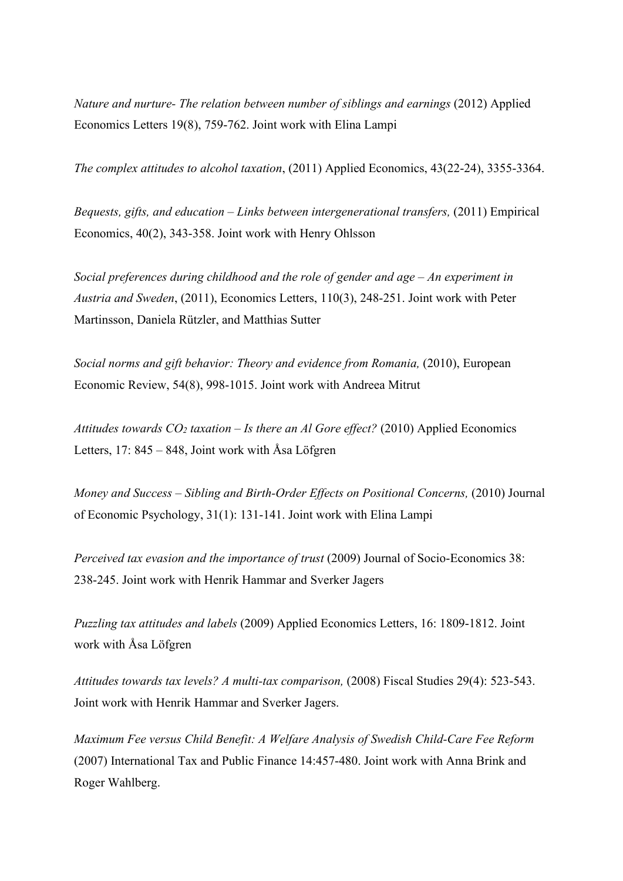*Nature and nurture- The relation between number of siblings and earnings* (2012) Applied Economics Letters 19(8), 759-762. Joint work with Elina Lampi

*The complex attitudes to alcohol taxation*, (2011) Applied Economics, 43(22-24), 3355-3364.

*Bequests, gifts, and education – Links between intergenerational transfers,* (2011) Empirical Economics, 40(2), 343-358. Joint work with Henry Ohlsson

*Social preferences during childhood and the role of gender and age – An experiment in Austria and Sweden*, (2011), Economics Letters, 110(3), 248-251. Joint work with Peter Martinsson, Daniela Rützler, and Matthias Sutter

*Social norms and gift behavior: Theory and evidence from Romania, (2010), European* Economic Review, 54(8), 998-1015. Joint work with Andreea Mitrut

*[Attitudes](http://swopec.hhs.se/gunwpe/abs/gunwpe0234.htm) towards CO2 taxation – Is there an Al Gore effect?* (2010) Applied Economics Letters, 17: 845 – 848, Joint work with Åsa Löfgren

*Money and Success – Sibling and Birth-Order Effects on Positional Concerns,* (2010) Journal of Economic Psychology, 31(1): 131-141. Joint work with Elina Lampi

*Perceived tax evasion and the importance of trust* (2009) Journal of Socio-Economics 38: 238-245. Joint work with Henrik Hammar and Sverker Jagers

*[Puzzling tax attitudes and labels](http://swopec.hhs.se/gunwpe/abs/gunwpe0234.htm)* (2009) Applied Economics Letters, 16: 1809-1812. Joint work with Åsa Löfgren

*Attitudes towards tax levels? A multi-tax comparison,* (2008) Fiscal Studies 29(4): 523-543. Joint work with Henrik Hammar and Sverker Jagers.

*Maximum Fee versus Child Benefit: A Welfare Analysis of Swedish Child-Care Fee Reform*  (2007) International Tax and Public Finance 14:457-480. Joint work with Anna Brink and Roger Wahlberg.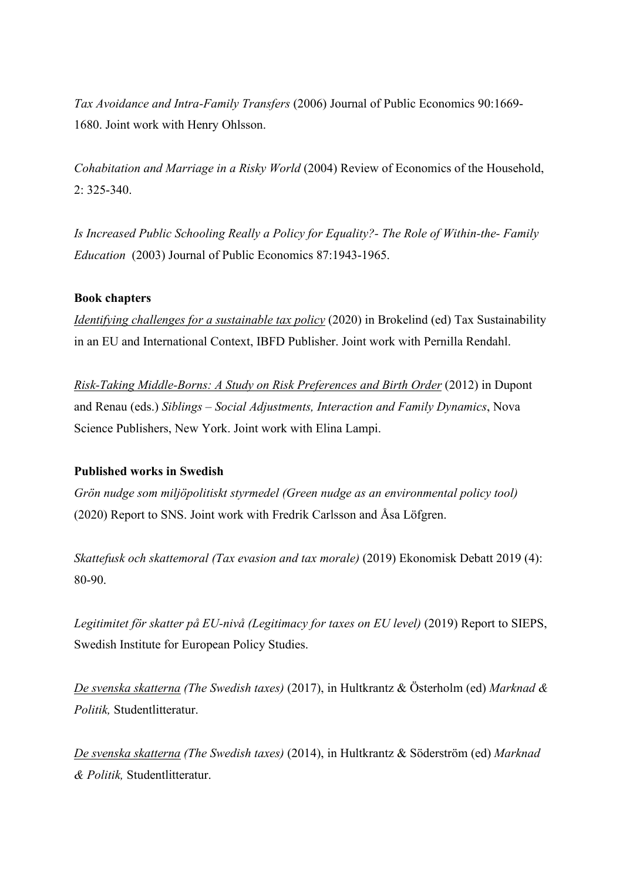*Tax Avoidance and Intra-Family Transfers* (2006) Journal of Public Economics 90:1669- 1680. Joint work with Henry Ohlsson.

*Cohabitation and Marriage in a Risky World* (2004) Review of Economics of the Household, 2: 325-340.

*Is Increased Public Schooling Really a Policy for Equality?- The Role of Within-the- Family Education* (2003) Journal of Public Economics 87:1943-1965.

# **Book chapters**

*Identifying challenges for a sustainable tax policy* (2020) in Brokelind (ed) Tax Sustainability in an EU and International Context, IBFD Publisher. Joint work with Pernilla Rendahl.

*Risk-Taking Middle-Borns: A Study on Risk Preferences and Birth Order* (2012) in Dupont and Renau (eds.) *Siblings – Social Adjustments, Interaction and Family Dynamics*, Nova Science Publishers, New York. Joint work with Elina Lampi.

### **Published works in Swedish**

*Grön nudge som miljöpolitiskt styrmedel (Green nudge as an environmental policy tool)* (2020) Report to SNS. Joint work with Fredrik Carlsson and Åsa Löfgren.

*Skattefusk och skattemoral (Tax evasion and tax morale)* (2019) Ekonomisk Debatt 2019 (4): 80-90.

Legitimitet för skatter på EU-nivå (Legitimacy for taxes on EU level) (2019) Report to SIEPS, Swedish Institute for European Policy Studies.

*De svenska skatterna (The Swedish taxes)* (2017), in Hultkrantz & Österholm (ed) *Marknad & Politik,* Studentlitteratur.

*De svenska skatterna (The Swedish taxes)* (2014), in Hultkrantz & Söderström (ed) *Marknad & Politik,* Studentlitteratur.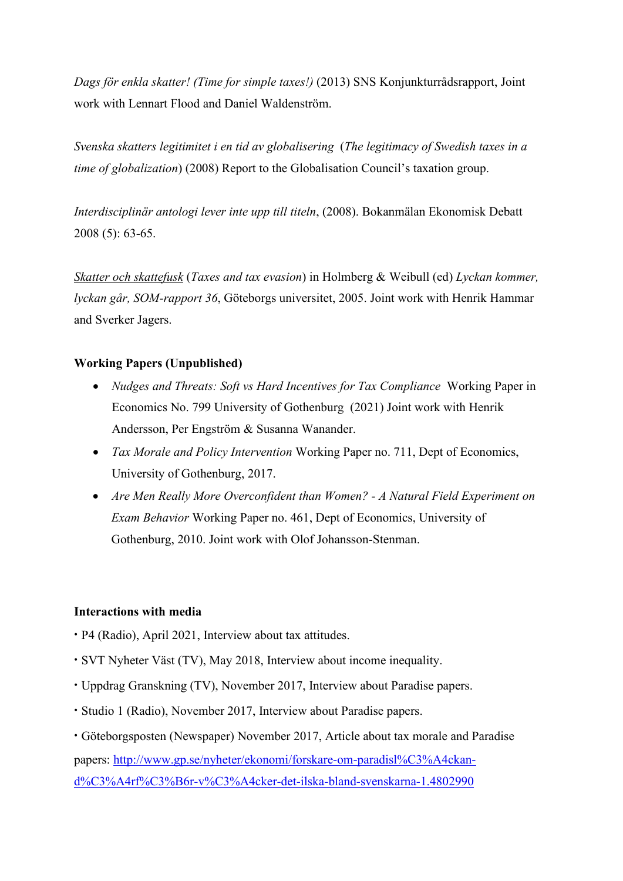*Dags för enkla skatter! (Time for simple taxes!)* (2013) SNS Konjunkturrådsrapport, Joint work with Lennart Flood and Daniel Waldenström.

*Svenska skatters legitimitet i en tid av globalisering* (*The legitimacy of Swedish taxes in a time of globalization*) (2008) Report to the Globalisation Council's taxation group.

*Interdisciplinär antologi lever inte upp till titeln*, (2008). Bokanmälan Ekonomisk Debatt 2008 (5): 63-65.

*[Skatter och skattefusk](http://www.handels.gu.se/%7Eeconknor/skatter%20och%20skattefusk.pdf)* (*Taxes and tax evasion*) in Holmberg & Weibull (ed) *Lyckan kommer, lyckan går, SOM-rapport 36*, Göteborgs universitet, 2005. Joint work with Henrik Hammar and Sverker Jagers.

# **Working Papers (Unpublished)**

- *Nudges and Threats: Soft vs Hard Incentives for Tax Compliance* Working Paper in Economics No. 799 University of Gothenburg (2021) Joint work with Henrik Andersson, Per Engström & Susanna Wanander.
- *Tax Morale and Policy Intervention* Working Paper no. 711, Dept of Economics, University of Gothenburg, 2017.
- *Are Men Really More Overconfident than Women? - A Natural Field Experiment on Exam Behavior* Working Paper no. 461, Dept of Economics, University of Gothenburg, 2010. Joint work with Olof Johansson-Stenman.

# **Interactions with media**

- **∙** P4 (Radio), April 2021, Interview about tax attitudes.
- **∙** SVT Nyheter Väst (TV), May 2018, Interview about income inequality.
- **∙** Uppdrag Granskning (TV), November 2017, Interview about Paradise papers.
- **∙** Studio 1 (Radio), November 2017, Interview about Paradise papers.
- **∙** Göteborgsposten (Newspaper) November 2017, Article about tax morale and Paradise papers: [http://www.gp.se/nyheter/](http://www.gp.se/nyheter/ekonomi/forskare-om-paradisl%C3%A4ckan-d%C3%A4rf%C3%B6r-v%C3%A4cker-det-ilska-bland-svenskarna-1.4802990)ekonomi/forskare-om-paradisl%C3%A4ckan[d%C3%A4rf%C3%B6r-](http://www.gp.se/nyheter/ekonomi/forskare-om-paradisl%C3%A4ckan-d%C3%A4rf%C3%B6r-v%C3%A4cker-det-ilska-bland-svenskarna-1.4802990)v%C3%A4cker-det-ilska-bland-svenskarna-1.4802990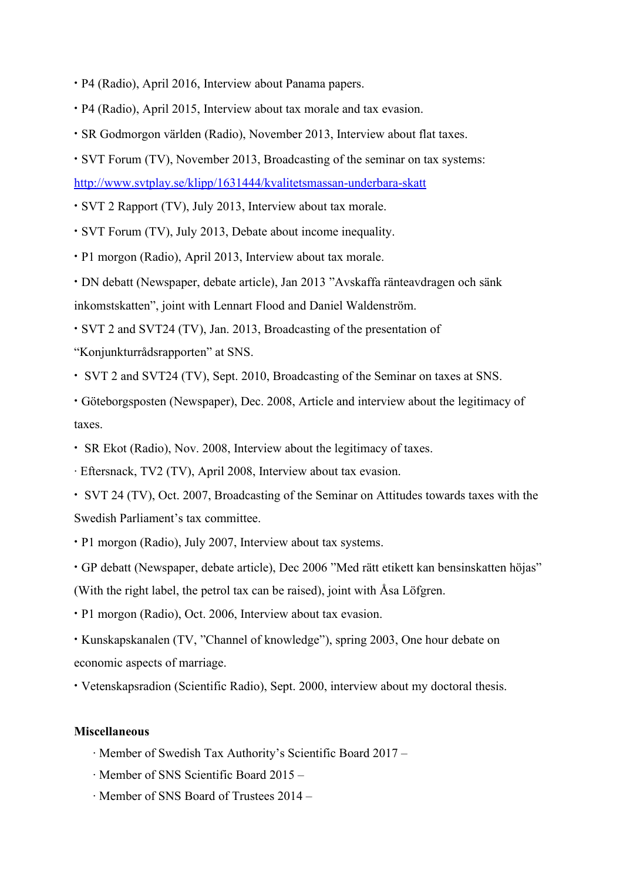- **∙** P4 (Radio), April 2016, Interview about Panama papers.
- **∙** P4 (Radio), April 2015, Interview about tax morale and tax evasion.
- **∙** SR Godmorgon världen (Radio), November 2013, Interview about flat taxes.
- **∙** SVT Forum (TV), November 2013, Broadcasting of the seminar on tax systems: [http://www.svtplay.se/klipp/1631444/kvalitet](http://www.svtplay.se/klipp/1631444/kvalitetsmassan-underbara-skatt)smassan-underbara-skatt
- **∙** SVT 2 Rapport (TV), July 2013, Interview about tax morale.
- **∙** SVT Forum (TV), July 2013, Debate about income inequality.
- **∙** P1 morgon (Radio), April 2013, Interview about tax morale.

**∙** DN debatt (Newspaper, debate article), Jan 2013 "Avskaffa ränteavdragen och sänk inkomstskatten", joint with Lennart Flood and Daniel Waldenström.

- **∙** SVT 2 and SVT24 (TV), Jan. 2013, Broadcasting of the presentation of
- "Konjunkturrådsrapporten" at SNS.
- **∙** SVT 2 and SVT24 (TV), Sept. 2010, Broadcasting of the Seminar on taxes at SNS.
- **∙** Göteborgsposten (Newspaper), Dec. 2008, Article and interview about the legitimacy of taxes.
- **∙** SR Ekot (Radio), Nov. 2008, Interview about the legitimacy of taxes.
- ∙ Eftersnack, TV2 (TV), April 2008, Interview about tax evasion.
- **∙** SVT 24 (TV), Oct. 2007, Broadcasting of the Seminar on Attitudes towards taxes with the Swedish Parliament's tax committee.
- **∙** P1 morgon (Radio), July 2007, Interview about tax systems.
- **∙** GP debatt (Newspaper, debate article), Dec 2006 "Med rätt etikett kan bensinskatten höjas" (With the right label, the petrol tax can be raised), joint with Åsa Löfgren.
- **∙** P1 morgon (Radio), Oct. 2006, Interview about tax evasion.
- **∙** Kunskapskanalen (TV, "Channel of knowledge"), spring 2003, One hour debate on economic aspects of marriage.
- **∙** Vetenskapsradion (Scientific Radio), Sept. 2000, interview about my doctoral thesis.

#### **Miscellaneous**

- ∙ Member of Swedish Tax Authority's Scientific Board 2017 –
- ∙ Member of SNS Scientific Board 2015 –
- ∙ Member of SNS Board of Trustees 2014 –